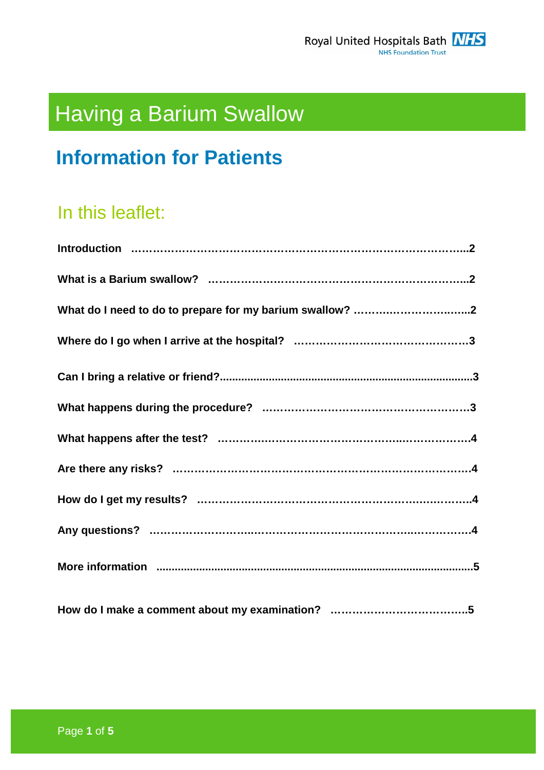# Having a Barium Swallow

## **Information for Patients**

## In this leaflet: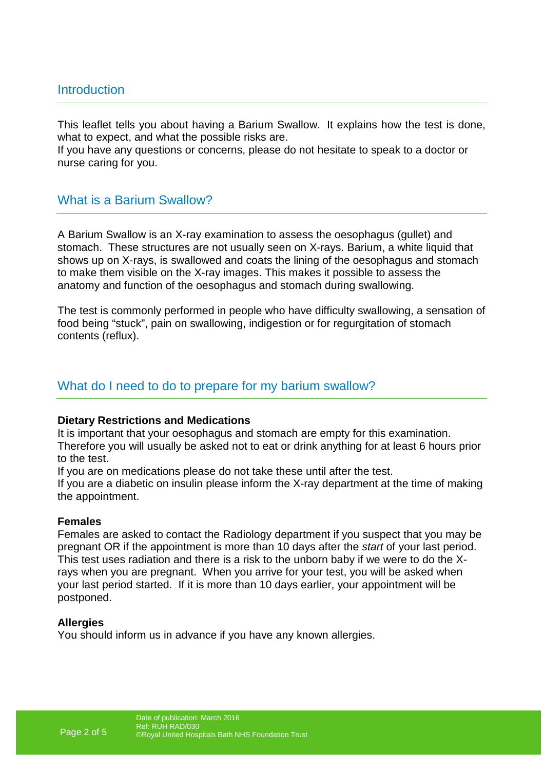## Introduction

This leaflet tells you about having a Barium Swallow. It explains how the test is done, what to expect, and what the possible risks are.

If you have any questions or concerns, please do not hesitate to speak to a doctor or nurse caring for you.

## What is a Barium Swallow?

A Barium Swallow is an X-ray examination to assess the oesophagus (gullet) and stomach. These structures are not usually seen on X-rays. Barium, a white liquid that shows up on X-rays, is swallowed and coats the lining of the oesophagus and stomach to make them visible on the X-ray images. This makes it possible to assess the anatomy and function of the oesophagus and stomach during swallowing.

The test is commonly performed in people who have difficulty swallowing, a sensation of food being "stuck", pain on swallowing, indigestion or for regurgitation of stomach contents (reflux).

### What do I need to do to prepare for my barium swallow?

### **Dietary Restrictions and Medications**

It is important that your oesophagus and stomach are empty for this examination. Therefore you will usually be asked not to eat or drink anything for at least 6 hours prior to the test.

If you are on medications please do not take these until after the test.

If you are a diabetic on insulin please inform the X-ray department at the time of making the appointment.

### **Females**

Females are asked to contact the Radiology department if you suspect that you may be pregnant OR if the appointment is more than 10 days after the start of your last period. This test uses radiation and there is a risk to the unborn baby if we were to do the Xrays when you are pregnant. When you arrive for your test, you will be asked when your last period started. If it is more than 10 days earlier, your appointment will be postponed.

### **Allergies**

You should inform us in advance if you have any known allergies.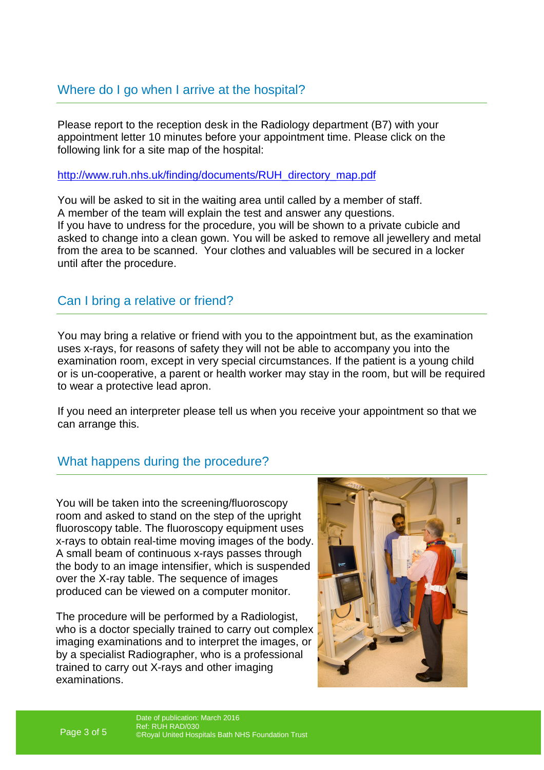Please report to the reception desk in the Radiology department (B7) with your appointment letter 10 minutes before your appointment time. Please click on the following link for a site map of the hospital:

http://www.ruh.nhs.uk/finding/documents/RUH\_directory\_map.pdf

You will be asked to sit in the waiting area until called by a member of staff. A member of the team will explain the test and answer any questions. If you have to undress for the procedure, you will be shown to a private cubicle and asked to change into a clean gown. You will be asked to remove all jewellery and metal from the area to be scanned. Your clothes and valuables will be secured in a locker until after the procedure.

## Can I bring a relative or friend?

You may bring a relative or friend with you to the appointment but, as the examination uses x-rays, for reasons of safety they will not be able to accompany you into the examination room, except in very special circumstances. If the patient is a young child or is un-cooperative, a parent or health worker may stay in the room, but will be required to wear a protective lead apron.

If you need an interpreter please tell us when you receive your appointment so that we can arrange this.

## What happens during the procedure?

You will be taken into the screening/fluoroscopy room and asked to stand on the step of the upright fluoroscopy table. The fluoroscopy equipment uses x-rays to obtain real-time moving images of the body. A small beam of continuous x-rays passes through the body to an image intensifier, which is suspended over the X-ray table. The sequence of images produced can be viewed on a computer monitor.

The procedure will be performed by a Radiologist, who is a doctor specially trained to carry out complex imaging examinations and to interpret the images, or by a specialist Radiographer, who is a professional trained to carry out X-rays and other imaging examinations.

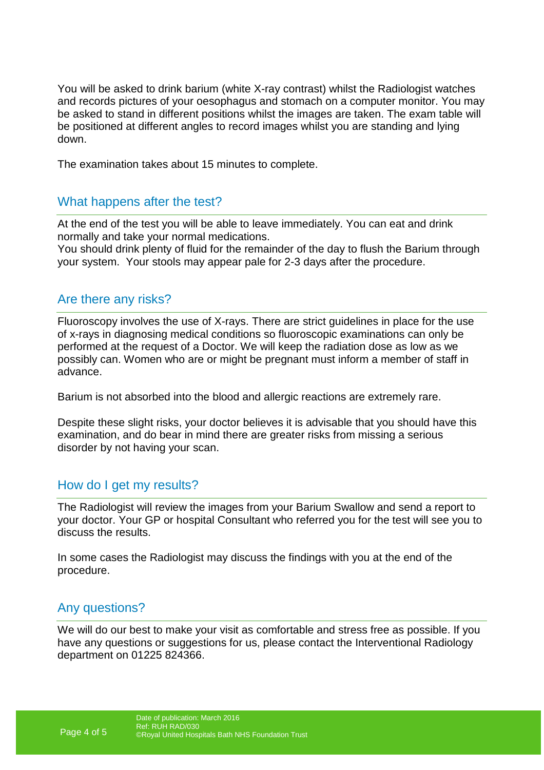You will be asked to drink barium (white X-ray contrast) whilst the Radiologist watches and records pictures of your oesophagus and stomach on a computer monitor. You may be asked to stand in different positions whilst the images are taken. The exam table will be positioned at different angles to record images whilst you are standing and lying down.

The examination takes about 15 minutes to complete.

## What happens after the test?

At the end of the test you will be able to leave immediately. You can eat and drink normally and take your normal medications.

You should drink plenty of fluid for the remainder of the day to flush the Barium through your system. Your stools may appear pale for 2-3 days after the procedure.

## Are there any risks?

Fluoroscopy involves the use of X-rays. There are strict guidelines in place for the use of x-rays in diagnosing medical conditions so fluoroscopic examinations can only be performed at the request of a Doctor. We will keep the radiation dose as low as we possibly can. Women who are or might be pregnant must inform a member of staff in advance.

Barium is not absorbed into the blood and allergic reactions are extremely rare.

Despite these slight risks, your doctor believes it is advisable that you should have this examination, and do bear in mind there are greater risks from missing a serious disorder by not having your scan.

## How do I get my results?

The Radiologist will review the images from your Barium Swallow and send a report to your doctor. Your GP or hospital Consultant who referred you for the test will see you to discuss the results.

In some cases the Radiologist may discuss the findings with you at the end of the procedure.

## Any questions?

We will do our best to make your visit as comfortable and stress free as possible. If you have any questions or suggestions for us, please contact the Interventional Radiology department on 01225 824366.